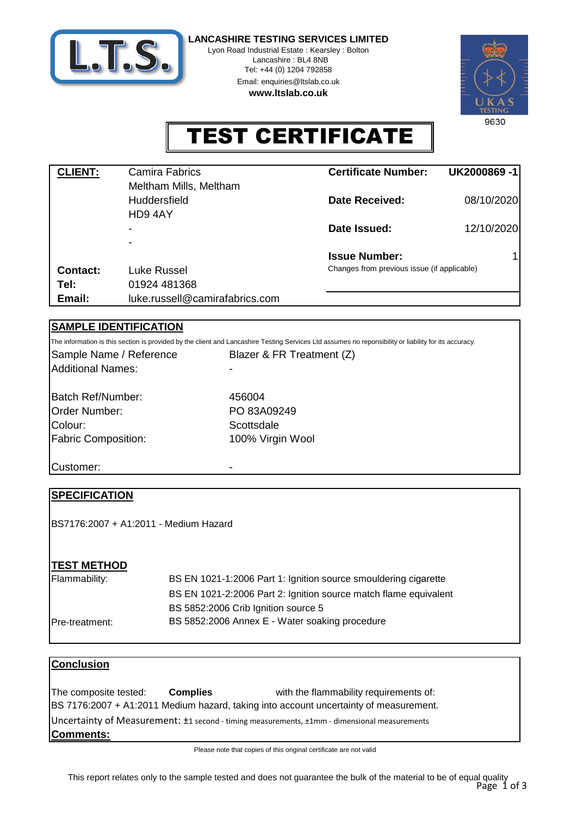

Lyon Road Industrial Estate : Kearsley : Bolton Lancashire : BL4 8NB Tel: +44 (0) 1204 792858 Email: enquiries@ltslab.co.uk

**www.ltslab.co.uk**



TEST CERTIFICATE

| <b>CLIENT:</b>  | Camira Fabrics                 | <b>Certificate Number:</b>                  | UK2000869-1 |  |
|-----------------|--------------------------------|---------------------------------------------|-------------|--|
|                 | Meltham Mills, Meltham         |                                             |             |  |
|                 | <b>Huddersfield</b>            | Date Received:                              | 08/10/2020  |  |
|                 | HD94AY                         |                                             |             |  |
|                 | $\overline{\phantom{a}}$       | Date Issued:                                | 12/10/2020  |  |
|                 | $\overline{\phantom{0}}$       |                                             |             |  |
|                 |                                | <b>Issue Number:</b>                        | 1           |  |
| <b>Contact:</b> | Luke Russel                    | Changes from previous issue (if applicable) |             |  |
| Tel:            | 01924 481368                   |                                             |             |  |
| Email:          | luke.russell@camirafabrics.com |                                             |             |  |

## **SAMPLE IDENTIFICATION**

The information is this section is provided by the client and Lancashire Testing Services Ltd assumes no reponsibility or liability for its accuracy.

Additional Names: Sample Name / Reference

Fabric Composition: 100% Virgin Wool Order Number: Batch Ref/Number: Colour:

PO 83A09249 **Scottsdale** 456004

Blazer & FR Treatment (Z)

Customer:

## **SPECIFICATION**

BS7176:2007 + A1:2011 - Medium Hazard

## **TEST METHOD**

| Flammability:   | BS EN 1021-1:2006 Part 1: Ignition source smouldering cigarette  |
|-----------------|------------------------------------------------------------------|
|                 | BS EN 1021-2:2006 Part 2: Ignition source match flame equivalent |
|                 | BS 5852:2006 Crib Ignition source 5                              |
| IPre-treatment: | BS 5852:2006 Annex E - Water soaking procedure                   |

#### **Conclusion**

with the flammability requirements of: **Comments:** BS 7176:2007 + A1:2011 Medium hazard, taking into account uncertainty of measurement. Uncertainty of Measurement: ±1 second - timing measurements, ±1mm - dimensional measurements The composite tested: **Complies**

Please note that copies of this original certificate are not valid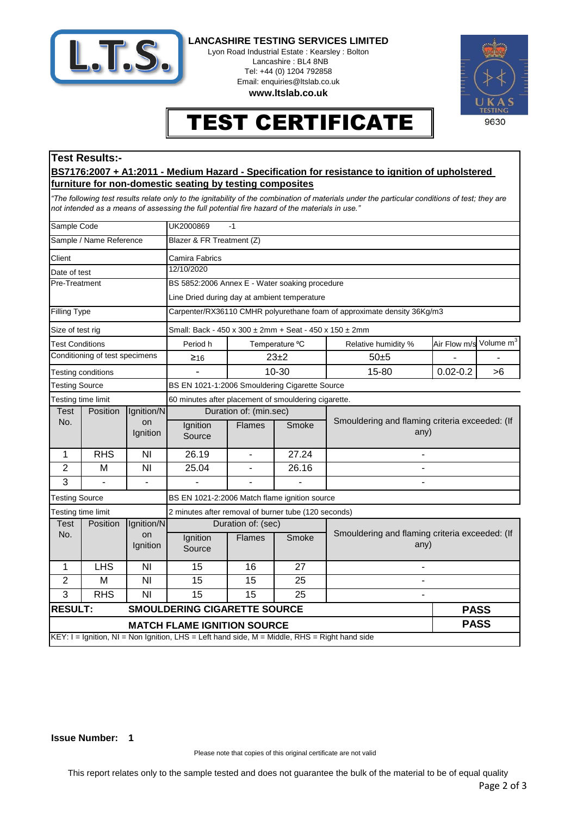

Lyon Road Industrial Estate : Kearsley : Bolton Lancashire : BL4 8NB Tel: +44 (0) 1204 792858 Email: enquiries@ltslab.co.uk

**www.ltslab.co.uk**



# TEST CERTIFICATE

### **Test Results:-**

#### **BS7176:2007 + A1:2011 - Medium Hazard - Specification for resistance to ignition of upholstered furniture for non-domestic seating by testing composites**

*"The following test results relate only to the ignitability of the combination of materials under the particular conditions of test; they are not intended as a means of assessing the full potential fire hazard of the materials in use."*

| Sample Code                                                                                   |                       |                                                | UK2000869<br>$-1$                                                       |                |          |                                                        |              |                       |  |  |
|-----------------------------------------------------------------------------------------------|-----------------------|------------------------------------------------|-------------------------------------------------------------------------|----------------|----------|--------------------------------------------------------|--------------|-----------------------|--|--|
| Sample / Name Reference                                                                       |                       |                                                | Blazer & FR Treatment (Z)                                               |                |          |                                                        |              |                       |  |  |
| Client<br>Camira Fabrics                                                                      |                       |                                                |                                                                         |                |          |                                                        |              |                       |  |  |
| Date of test                                                                                  |                       |                                                | 12/10/2020                                                              |                |          |                                                        |              |                       |  |  |
| Pre-Treatment                                                                                 |                       |                                                | BS 5852:2006 Annex E - Water soaking procedure                          |                |          |                                                        |              |                       |  |  |
|                                                                                               |                       |                                                | Line Dried during day at ambient temperature                            |                |          |                                                        |              |                       |  |  |
| <b>Filling Type</b>                                                                           |                       |                                                | Carpenter/RX36110 CMHR polyurethane foam of approximate density 36Kg/m3 |                |          |                                                        |              |                       |  |  |
| Size of test rig                                                                              |                       |                                                | Small: Back - 450 x 300 ± 2mm + Seat - 450 x 150 ± 2mm                  |                |          |                                                        |              |                       |  |  |
| <b>Test Conditions</b>                                                                        |                       |                                                | Period h                                                                | Temperature °C |          | Relative humidity %                                    | Air Flow m/s | Volume m <sup>3</sup> |  |  |
| Conditioning of test specimens                                                                |                       | $≥$ 16                                         | $23 + 2$                                                                |                | $50 + 5$ |                                                        |              |                       |  |  |
|                                                                                               | Testing conditions    |                                                | $\blacksquare$                                                          | 10-30          |          | 15-80                                                  | $0.02 - 0.2$ | >6                    |  |  |
| <b>Testing Source</b>                                                                         |                       | BS EN 1021-1:2006 Smouldering Cigarette Source |                                                                         |                |          |                                                        |              |                       |  |  |
| Testing time limit                                                                            |                       |                                                | 60 minutes after placement of smouldering cigarette.                    |                |          |                                                        |              |                       |  |  |
| Position<br>Test                                                                              |                       | Ignition/N                                     | Duration of: (min.sec)                                                  |                |          |                                                        |              |                       |  |  |
|                                                                                               | No.<br>on<br>Ignition |                                                | Ignition<br>Source                                                      | <b>Flames</b>  | Smoke    | Smouldering and flaming criteria exceeded: (If<br>any) |              |                       |  |  |
| 1                                                                                             | <b>RHS</b>            | NI                                             | 26.19                                                                   | $\blacksquare$ | 27.24    |                                                        |              |                       |  |  |
| $\overline{2}$                                                                                | M                     | NI                                             | 25.04                                                                   | $\blacksquare$ | 26.16    | $\blacksquare$                                         |              |                       |  |  |
| 3                                                                                             |                       |                                                |                                                                         |                |          |                                                        |              |                       |  |  |
| <b>Testing Source</b>                                                                         |                       | BS EN 1021-2:2006 Match flame ignition source  |                                                                         |                |          |                                                        |              |                       |  |  |
| Testing time limit<br>2 minutes after removal of burner tube (120 seconds)                    |                       |                                                |                                                                         |                |          |                                                        |              |                       |  |  |
| Test<br>Position<br>No.<br>on                                                                 |                       | Ignition/N                                     | Duration of: (sec)                                                      |                |          |                                                        |              |                       |  |  |
|                                                                                               |                       | Ignition                                       | Ignition<br>Source                                                      | <b>Flames</b>  | Smoke    | Smouldering and flaming criteria exceeded: (If<br>any) |              |                       |  |  |
| 1                                                                                             | <b>LHS</b>            | NI                                             | 15                                                                      | 16             | 27       |                                                        |              |                       |  |  |
| $\overline{2}$                                                                                | M                     | NI                                             | 15                                                                      | 15             | 25       |                                                        |              |                       |  |  |
| 3                                                                                             | <b>RHS</b>            | NI                                             | 15                                                                      | 15             | 25       |                                                        |              |                       |  |  |
| <b>RESULT:</b><br><b>SMOULDERING CIGARETTE SOURCE</b>                                         |                       |                                                |                                                                         |                |          | <b>PASS</b>                                            |              |                       |  |  |
|                                                                                               |                       |                                                | <b>MATCH FLAME IGNITION SOURCE</b>                                      |                |          |                                                        | <b>PASS</b>  |                       |  |  |
| KEY: I = Ignition, NI = Non Ignition, LHS = Left hand side, M = Middle, RHS = Right hand side |                       |                                                |                                                                         |                |          |                                                        |              |                       |  |  |

#### **Issue Number: 1**

Please note that copies of this original certificate are not valid

This report relates only to the sample tested and does not guarantee the bulk of the material to be of equal quality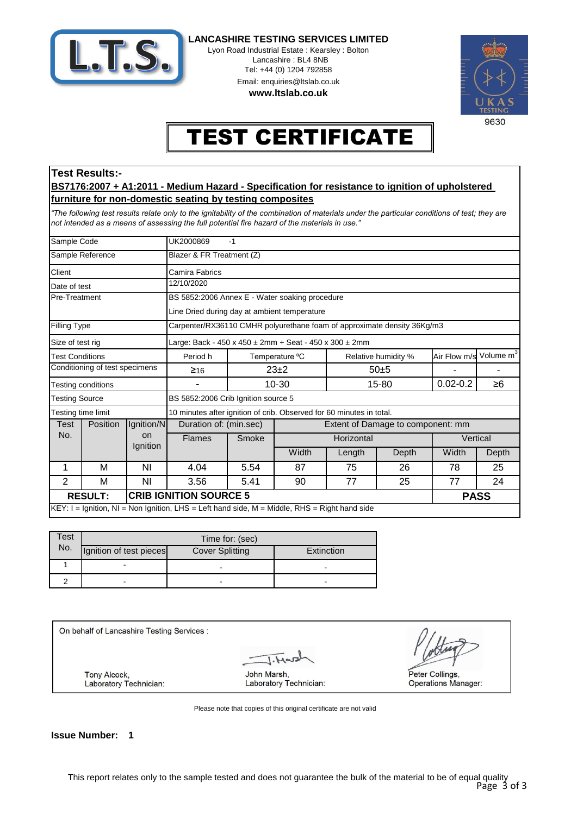

Lyon Road Industrial Estate : Kearsley : Bolton Lancashire : BL4 8NB Tel: +44 (0) 1204 792858 Email: enquiries@ltslab.co.uk

**www.ltslab.co.uk**



# TEST CERTIFICATE

#### **Test Results:-**

#### **BS7176:2007 + A1:2011 - Medium Hazard - Specification for resistance to ignition of upholstered furniture for non-domestic seating by testing composites**

*"The following test results relate only to the ignitability of the combination of materials under the particular conditions of test; they are not intended as a means of assessing the full potential fire hazard of the materials in use."*

| $KEY: I = Ignition, NI = Non Ignition, LHS = Left hand side, M = Middle, RHS = Right hand side)$ |   |                                                |                                                                         |                    |            |                                   |       |                                       |       |  |
|--------------------------------------------------------------------------------------------------|---|------------------------------------------------|-------------------------------------------------------------------------|--------------------|------------|-----------------------------------|-------|---------------------------------------|-------|--|
| <b>CRIB IGNITION SOURCE 5</b><br><b>RESULT:</b>                                                  |   |                                                |                                                                         |                    |            |                                   |       | <b>PASS</b>                           |       |  |
| 2                                                                                                | М | ΝI                                             | 3.56                                                                    | 5.41               | 90         | 77                                | 25    | 77                                    | 24    |  |
| 1                                                                                                | М | ΝI                                             | 4.04                                                                    | 5.54               | 87         | 75                                | 26    | 78                                    | 25    |  |
|                                                                                                  |   | Ignition                                       |                                                                         |                    | Width      | Length                            | Depth | Width                                 | Depth |  |
| No.                                                                                              |   | on                                             | <b>Flames</b><br>Smoke                                                  |                    | Horizontal |                                   |       | Vertical                              |       |  |
| Position<br>Test                                                                                 |   | Ignition/N                                     | Duration of: (min.sec)                                                  |                    |            | Extent of Damage to component: mm |       |                                       |       |  |
| Testing time limit                                                                               |   |                                                | 10 minutes after ignition of crib. Observed for 60 minutes in total.    |                    |            |                                   |       |                                       |       |  |
| <b>Testing Source</b>                                                                            |   |                                                | BS 5852:2006 Crib Ignition source 5                                     |                    |            |                                   |       |                                       |       |  |
| Testing conditions                                                                               |   |                                                |                                                                         | $10 - 30$<br>15-80 |            | $0.02 - 0.2$                      | ≥6    |                                       |       |  |
| Conditioning of test specimens                                                                   |   | ≥16                                            |                                                                         | $23+2$<br>$50+5$   |            |                                   |       |                                       |       |  |
| <b>Test Conditions</b>                                                                           |   | Period h                                       |                                                                         | Temperature °C     |            | Relative humidity %               |       | Volume m <sup>3</sup><br>Air Flow m/s |       |  |
| Size of test rig                                                                                 |   |                                                | Large: Back - 450 x 450 $\pm$ 2mm + Seat - 450 x 300 $\pm$ 2mm          |                    |            |                                   |       |                                       |       |  |
| Filling Type                                                                                     |   |                                                | Carpenter/RX36110 CMHR polyurethane foam of approximate density 36Kg/m3 |                    |            |                                   |       |                                       |       |  |
|                                                                                                  |   | Line Dried during day at ambient temperature   |                                                                         |                    |            |                                   |       |                                       |       |  |
| Pre-Treatment                                                                                    |   | BS 5852:2006 Annex E - Water soaking procedure |                                                                         |                    |            |                                   |       |                                       |       |  |
| Date of test                                                                                     |   |                                                | 12/10/2020                                                              |                    |            |                                   |       |                                       |       |  |
| Client                                                                                           |   |                                                | Camira Fabrics                                                          |                    |            |                                   |       |                                       |       |  |
| Sample Reference                                                                                 |   | Blazer & FR Treatment (Z)                      |                                                                         |                    |            |                                   |       |                                       |       |  |
| Sample Code                                                                                      |   | UK2000869<br>$-1$                              |                                                                         |                    |            |                                   |       |                                       |       |  |

| Test | Time for: (sec)         |                        |            |  |  |  |  |
|------|-------------------------|------------------------|------------|--|--|--|--|
| No.  | Ignition of test pieces | <b>Cover Splitting</b> | Extinction |  |  |  |  |
|      |                         |                        |            |  |  |  |  |
|      |                         |                        |            |  |  |  |  |

On behalf of Lancashire Testing Services :

**Tony Alcock,** Laboratory Technician:

John Marsh. Laboratory Technician:

Peter Collings. **Operations Manager:** 

Please note that copies of this original certificate are not valid

**Issue Number: 1**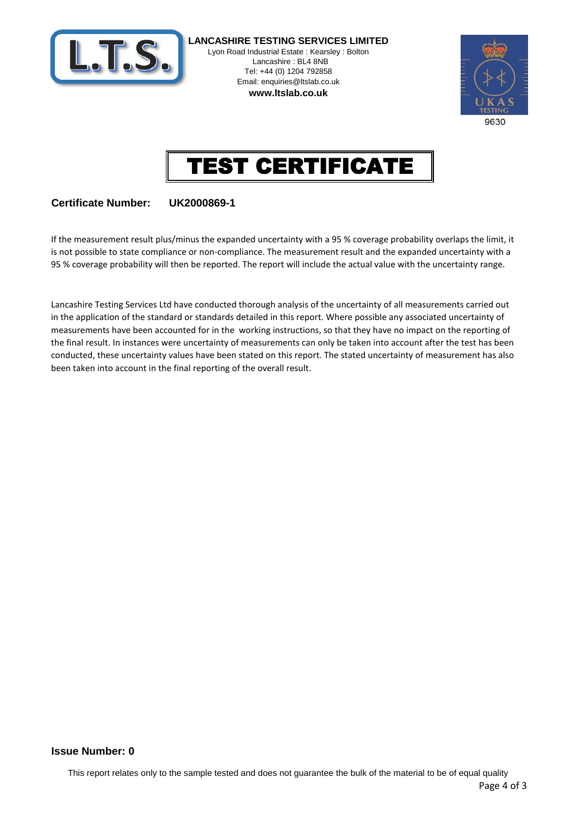

**LANCASHIRE TESTING SERVICES LIMITED** Lyon Road Industrial Estate : Kearsley : Bolton Lancashire : BL4 8NB Tel: +44 (0) 1204 792858 Email: enquiries@ltslab.co.uk **www.ltslab.co.uk**





## **Certificate Number: UK2000869-1**

If the measurement result plus/minus the expanded uncertainty with a 95 % coverage probability overlaps the limit, it is not possible to state compliance or non-compliance. The measurement result and the expanded uncertainty with a 95 % coverage probability will then be reported. The report will include the actual value with the uncertainty range.

Lancashire Testing Services Ltd have conducted thorough analysis of the uncertainty of all measurements carried out in the application of the standard or standards detailed in this report. Where possible any associated uncertainty of measurements have been accounted for in the working instructions, so that they have no impact on the reporting of the final result. In instances were uncertainty of measurements can only be taken into account after the test has been conducted, these uncertainty values have been stated on this report. The stated uncertainty of measurement has also been taken into account in the final reporting of the overall result.

#### **0 Issue Number:**